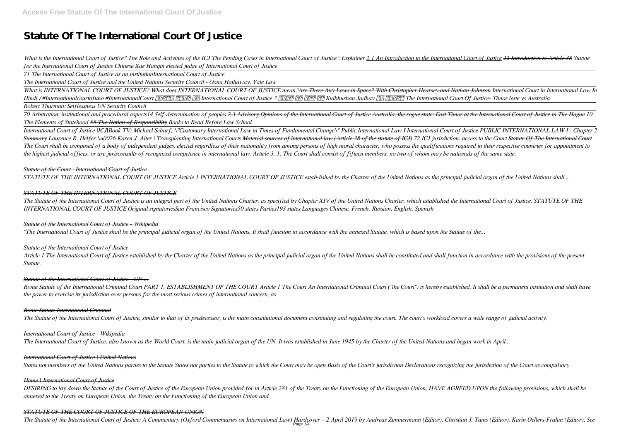# **Statute Of The International Court Of Justice**

What is the International Court of Justice? The Role and Activities of the ICJ The Pending Cases in International Court of Justice | Explainer 2.1 An Introduction to the International Court of Justice 22 Introduction to Ar *for the International Court of Justice Chinese Xue Hanqin elected judge of International Court of Justice*

*71 The International Court of Justice as an institutionInternational Court of Justice*

*The International Court of Justice and the United Nations Security Council - Oona Hathaway, Yale Law*

70 Arbitration: institutional and procedural aspects14 Self-determination of peoples 2.3 Advisory Opinions of the International Court of Justice Australia, the rogue state: East Timor at the International Court of Justice *The Elements of Statehood 55 The Notion of Responsibility Books to Read Before Law School*

*What is INTERNATIONAL COURT OF JUSTICE? What does INTERNATIONAL COURT OF JUSTICE mean?Are There Any Laws in Space? With Christopher Hearsey and Nathan Johnson International Court in International Law In Hindi / #Internationalcourtofuno #InternationalCourt [2020] 2020 International Court of Justice ? [2020] 2020 Kulbhushan Jadhav [2020] The International Court Of Justice- Timor leste vs Australia Robert Thurman: Selflessness UN Security Council* 

International Court of Justice IICJIBook TV: Michael Scharf, \"Customary International Law in Times of Fundamental Change\" Public International Law I International Court of Justice PUBLIC INTERNATIONAL LAW I - Chapter 2 Summary Laurence R. Helfer \u0026 Karen J. Alter | Transplanting International Courts Material sources of international law (Article 38 of the statute of ICJ) 72 ICJ jurisdiction: access to the Court Statute Of The Interna The Court shall be composed of a body of independent judges, elected regardless of their nationality from among persons of high moral character, who possess the qualifications required in their respective countries for app *the highest judicial offices, or are jurisconsults of recognized competence in international law. Article 3. 1. The Court shall consist of fifteen members, no two of whom may be nationals of the same state.*

The Statute of the International Court of Justice is an integral part of the United Nations Charter, as specified by Chapter XIV of the United Nations Charter, which established the International Court of Justice. STATUTE *INTERNATIONAL COURT OF JUSTICE Original signatoriesSan Francisco Signatories50 states Parties193 states Languages Chinese, French, Russian, English, Spanish*

Article 1 The International Court of Justice established by the Charter of the United Nations as the principal judicial organ of the United Nations shall be constituted and shall function in accordance with the provisions *Statute.*

Rome Statute of the International Criminal Court PART 1. ESTABLISHMENT OF THE COURT Article 1 The Court An International Criminal Court ("the Court") is hereby established. It shall be a permanent institution and shall hav *the power to exercise its jurisdiction over persons for the most serious crimes of international concern, as*

## *Statute of the Court | International Court of Justice*

*STATUTE OF THE INTERNATIONAL COURT OF JUSTICE Article 1 INTERNATIONAL COURT OF JUSTICE estab-lished by the Charter of the United Nations as the principal judicial organ of the United Nations shall...*

DESIRING to lay down the Statute of the Court of Justice of the European Union provided for in Article 281 of the Treaty on the Functioning of the European Union, HAVE AGREED UPON the following provisions, which shall be *annexed to the Treaty on European Union, the Treaty on the Functioning of the European Union and*

## *STATUTE OF THE INTERNATIONAL COURT OF JUSTICE*

The Statute of the International Court of Justice: A Commentary (Oxford Commentaries on International Law) Hardcover - 2 April 2019 by Andreas Zimmermann (Editor), Christian J. Tams (Editor), Karin Oellers-Frahm (Editor), Page 1/4

# *Statute of the International Court of Justice - Wikipedia*

*"The International Court of Justice shall be the principal judicial organ of the United Nations. It shall function in accordance with the annexed Statute, which is based upon the Statute of the...*

## *Statute of the International Court of Justice*

## *Statute of the International Court of Justice - UN ...*

## *Rome Statute International Criminal*

The Statute of the International Court of Justice, similar to that of its predecessor, is the main constitutional document constituting and regulating the court. The court's workload covers a wide range of judicial activit

## *International Court of Justice - Wikipedia*

*The International Court of Justice, also known as the World Court, is the main judicial organ of the UN. It was established in June 1945 by the Charter of the United Nations and began work in April...*

# *International Court of Justice | United Nations*

States not members of the United Nations parties to the Statute States not parties to the Statute to which the Court may be open Basis of the Court's jurisdiction Declarations recognizing the jurisdiction of the Court as c

## *Home | International Court of Justice*

# *STATUTE OF THE COURT OF JUSTICE OF THE EUROPEAN UNION*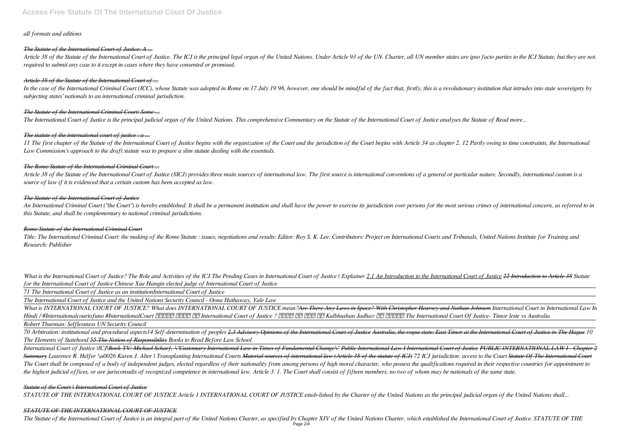# *all formats and editions*

# *The Statute of the International Court of Justice: A ...*

Article 38 of the Statute of the International Court of Justice. The ICJ is the principal legal organ of the United Nations. Under Article 93 of the UN. Charter, all UN member states are ipso facto parties to the ICJ Statu *required to submit any case to it except in cases where they have consented or promised.*

In the case of the International Criminal Court (ICC), whose Statute was adopted in Rome on 17 July 1998, however, one should be mindful of the fact that, firstly, this is a revolutionary institution that intrudes into sta *subjecting states' nationals to an international criminal jurisdiction.*

# *Article 38 of the Statute of the International Court of ...*

11 The first chapter of the Statute of the International Court of Justice begins with the organization of the Court and the jurisdiction of the Court begins with Article 34 as chapter 2, 12 Partly owing to time constraints *Law Commission's approach to the draft statute was to prepare a slim statute dealing with the essentials.*

# *The Statute of the International Criminal Court: Some ...*

Article 38 of the Statute of the International Court of Justice (SICJ) provides three main sources of international law. The first source is international conventions of a general or particular nature. Secondly, internatio *source of law if it is evidenced that a certain custom has been accepted as law.*

*The International Court of Justice is the principal judicial organ of the United Nations. This comprehensive Commentary on the Statute of the International Court of Justice analyses the Statute of Read more...*

An International Criminal Court ("the Court") is hereby established. It shall be a permanent institution and shall have the power to exercise its jurisdiction over persons for the most serious crimes of international conce *this Statute, and shall be complementary to national criminal jurisdictions.*

# *The statute of the international court of justice : a ...*

Title: The International Criminal Court: the making of the Rome Statute : issues, negotiations and results: Editor: Roy S. K. Lee: Contributors: Project on International Courts and Tribunals, United Nations Institute for T *Research: Publisher*

What is the International Court of Justice? The Role and Activities of the ICJ The Pending Cases in International Court of Justice | Explainer 2.1 An Introduction to the International Court of Justice 22 Introduction to Ar *for the International Court of Justice Chinese Xue Hanqin elected judge of International Court of Justice*

# *The Rome Statute of the International Criminal Court ...*

*What is INTERNATIONAL COURT OF JUSTICE? What does INTERNATIONAL COURT OF JUSTICE mean?Are There Any Laws in Space? With Christopher Hearsey and Nathan Johnson International Court in International Law In* Hindi /#Internationalcourtofuno #InternationalCourt 图图图图 图图图 International Court of Justice ? 图图图 图图 图图 图图 Kulbhushan Jadhav 图图 图图图图 The International Court Of Justice- Timor leste vs Australia

# *The Statute of the International Court of Justice*

70 Arbitration: institutional and procedural aspects14 Self-determination of peoples 2.3 Advisory Opinions of the International Court of Justice Australia, the rogue state: East Timor at the International Court of Justice *The Elements of Statehood 55 The Notion of Responsibility Books to Read Before Law School*

# *Rome Statute of the International Criminal Court*

International Court of Justice |ICJ|Book TV: Michael Scharf, \"Customary International Law in Times of Fundamental Change\" Public International Law I International Court of Justice PUBLIC INTERNATIONAL LAW I - Chapter 2 Summary Laurence R. Helfer \u0026 Karen J. Alter | Transplanting International Courts Material sources of international law (Article 38 of the statute of ICJ) 72 ICJ jurisdiction: access to the Court Statute Of The Interna The Court shall be composed of a body of independent judges, elected regardless of their nationality from among persons of high moral character, who possess the qualifications required in their respective countries for app *the highest judicial offices, or are jurisconsults of recognized competence in international law. Article 3. 1. The Court shall consist of fifteen members, no two of whom may be nationals of the same state.*

*71 The International Court of Justice as an institutionInternational Court of Justice*

*The International Court of Justice and the United Nations Security Council - Oona Hathaway, Yale Law*

*Robert Thurman: Selflessness UN Security Council* 

*Statute of the Court | International Court of Justice STATUTE OF THE INTERNATIONAL COURT OF JUSTICE Article 1 INTERNATIONAL COURT OF JUSTICE estab-lished by the Charter of the United Nations as the principal judicial organ of the United Nations shall...*

# *STATUTE OF THE INTERNATIONAL COURT OF JUSTICE*

The Statute of the International Court of Justice is an integral part of the United Nations Charter, as specified by Chapter XIV of the United Nations Charter, which established the International Court of Justice. STATUTE .<br>Page 2/4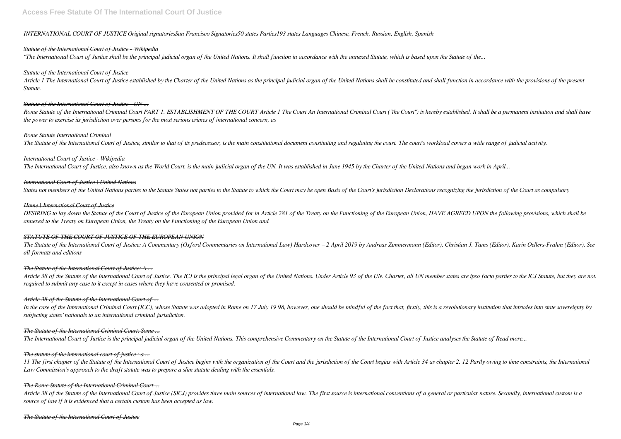# **Access Free Statute Of The International Court Of Justice**

*INTERNATIONAL COURT OF JUSTICE Original signatoriesSan Francisco Signatories50 states Parties193 states Languages Chinese, French, Russian, English, Spanish*

## *Statute of the International Court of Justice - Wikipedia*

*"The International Court of Justice shall be the principal judicial organ of the United Nations. It shall function in accordance with the annexed Statute, which is based upon the Statute of the...*

Article 1 The International Court of Justice established by the Charter of the United Nations as the principal judicial organ of the United Nations shall be constituted and shall function in accordance with the provisions *Statute.*

## *Statute of the International Court of Justice*

Rome Statute of the International Criminal Court PART 1, ESTABLISHMENT OF THE COURT Article 1 The Court An International Criminal Court ("the Court") is hereby established. It shall be a permanent institution and shall hav *the power to exercise its jurisdiction over persons for the most serious crimes of international concern, as*

## *Statute of the International Court of Justice - UN ...*

DESIRING to lay down the Statute of the Court of Justice of the European Union provided for in Article 281 of the Treaty on the Functioning of the European Union, HAVE AGREED UPON the following provisions, which shall be *annexed to the Treaty on European Union, the Treaty on the Functioning of the European Union and*

## *Rome Statute International Criminal*

The Statute of the International Court of Justice, similar to that of its predecessor, is the main constitutional document constituting and regulating the court. The court's workload covers a wide range of judicial activit

The Statute of the International Court of Justice: A Commentary (Oxford Commentaries on International Law) Hardcover - 2 April 2019 by Andreas Zimmermann (Editor), Christian J. Tams (Editor), Karin Oellers-Frahm (Editor), *all formats and editions*

## *International Court of Justice - Wikipedia*

Article 38 of the Statute of the International Court of Justice. The ICJ is the principal legal organ of the United Nations. Under Article 93 of the UN. Charter, all UN member states are ipso facto parties to the ICJ Statu *required to submit any case to it except in cases where they have consented or promised.*

*The International Court of Justice, also known as the World Court, is the main judicial organ of the UN. It was established in June 1945 by the Charter of the United Nations and began work in April...*

## *International Court of Justice | United Nations*

In the case of the International Criminal Court (ICC), whose Statute was adopted in Rome on 17 July 1998, however, one should be mindful of the fact that, firstly, this is a revolutionary institution that intrudes into sta *subjecting states' nationals to an international criminal jurisdiction.*

States not members of the United Nations parties to the Statute States not parties to the Statute to which the Court may be open Basis of the Court's jurisdiction Declarations recognizing the jurisdiction of the Court as c

## *Home | International Court of Justice*

11 The first chapter of the Statute of the International Court of Justice begins with the organization of the Court and the jurisdiction of the Court begins with Article 34 as chapter 2, 12 Partly owing to time constraints *Law Commission's approach to the draft statute was to prepare a slim statute dealing with the essentials.*

Article 38 of the Statute of the International Court of Justice (SICJ) provides three main sources of international law. The first source is international conventions of a general or particular nature. Secondly, internatio *source of law if it is evidenced that a certain custom has been accepted as law.*

# *STATUTE OF THE COURT OF JUSTICE OF THE EUROPEAN UNION*

# *The Statute of the International Court of Justice: A ...*

# *Article 38 of the Statute of the International Court of ...*

# *The Statute of the International Criminal Court: Some ...*

*The International Court of Justice is the principal judicial organ of the United Nations. This comprehensive Commentary on the Statute of the International Court of Justice analyses the Statute of Read more...*

# *The statute of the international court of justice : a ...*

## *The Rome Statute of the International Criminal Court ...*

## *The Statute of the International Court of Justice*